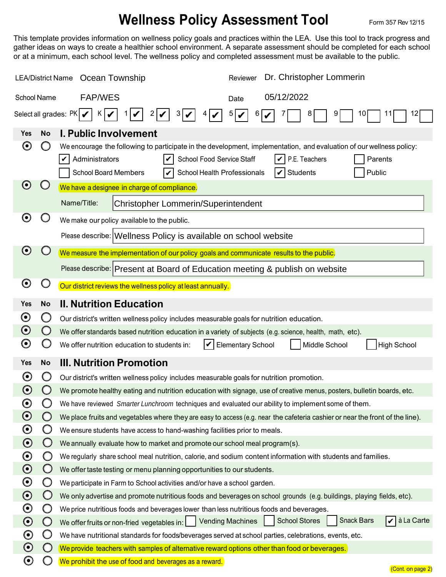## **Wellness Policy Assessment Tool** Form 357 Rev 12/15

This template provides information on wellness policy goals and practices within the LEA. Use this tool to track progress and gather ideas on ways to create a healthier school environment. A separate assessment should be completed for each school or at a minimum, each school level. The wellness policy and completed assessment must be available to the public.

| Dr. Christopher Lommerin<br><b>LEA/District Name</b><br>Ocean Township<br>Reviewer                                               |                                                                                                                |                                                                                                                                                                                                                                                                                                                        |                                                                 |  |  |  |
|----------------------------------------------------------------------------------------------------------------------------------|----------------------------------------------------------------------------------------------------------------|------------------------------------------------------------------------------------------------------------------------------------------------------------------------------------------------------------------------------------------------------------------------------------------------------------------------|-----------------------------------------------------------------|--|--|--|
| School Name                                                                                                                      |                                                                                                                | <b>FAP/WES</b><br>Date                                                                                                                                                                                                                                                                                                 | 05/12/2022                                                      |  |  |  |
| Select all grades: $PK$ $\triangleright$<br>K  <br>3 V<br>5<br>9<br>12<br>$\overline{2}$<br>6<br>8<br>10<br>$\blacktriangledown$ |                                                                                                                |                                                                                                                                                                                                                                                                                                                        |                                                                 |  |  |  |
| Yes                                                                                                                              | <b>No</b>                                                                                                      | <b>I. Public Involvement</b>                                                                                                                                                                                                                                                                                           |                                                                 |  |  |  |
| $\boldsymbol{\Theta}$                                                                                                            |                                                                                                                | We encourage the following to participate in the development, implementation, and evaluation of our wellness policy:<br>Administrators<br>School Food Service Staff<br>$ $ $\mathcal{V}$   P.E. Teachers<br>Parents<br>V<br><b>School Board Members</b><br>School Health Professionals<br>Students<br>Public<br>V<br>V |                                                                 |  |  |  |
| $\boldsymbol{\Theta}$                                                                                                            |                                                                                                                | We have a designee in charge of compliance.                                                                                                                                                                                                                                                                            |                                                                 |  |  |  |
|                                                                                                                                  |                                                                                                                | Name/Title:<br>Christopher Lommerin/Superintendent                                                                                                                                                                                                                                                                     |                                                                 |  |  |  |
| $\boldsymbol{\Theta}$                                                                                                            | We make our policy available to the public.<br>Please describe: Wellness Policy is available on school website |                                                                                                                                                                                                                                                                                                                        |                                                                 |  |  |  |
|                                                                                                                                  |                                                                                                                |                                                                                                                                                                                                                                                                                                                        |                                                                 |  |  |  |
| $\boldsymbol{\Theta}$                                                                                                            |                                                                                                                | We measure the implementation of our policy goals and communicate results to the public.                                                                                                                                                                                                                               |                                                                 |  |  |  |
|                                                                                                                                  |                                                                                                                | Please describe: Present at Board of Education meeting & publish on website                                                                                                                                                                                                                                            |                                                                 |  |  |  |
| $\boldsymbol{\Theta}$                                                                                                            | $\cup$                                                                                                         | Our district reviews the wellness policy at least annually.                                                                                                                                                                                                                                                            |                                                                 |  |  |  |
| <b>Yes</b>                                                                                                                       | <b>No</b>                                                                                                      | <b>II. Nutrition Education</b>                                                                                                                                                                                                                                                                                         |                                                                 |  |  |  |
| $\boldsymbol{\odot}$                                                                                                             | $\cup$                                                                                                         | Our district's written wellness policy includes measurable goals for nutrition education.                                                                                                                                                                                                                              |                                                                 |  |  |  |
| $\boldsymbol{\Theta}$                                                                                                            | $\bigcirc$                                                                                                     | We offer standards based nutrition education in a variety of subjects (e.g. science, health, math, etc).                                                                                                                                                                                                               |                                                                 |  |  |  |
| $\boldsymbol{\Theta}$                                                                                                            |                                                                                                                | We offer nutrition education to students in:<br>V                                                                                                                                                                                                                                                                      | Middle School<br><b>High School</b><br><b>Elementary School</b> |  |  |  |
| <b>Yes</b>                                                                                                                       | <b>No</b>                                                                                                      | <b>III. Nutrition Promotion</b>                                                                                                                                                                                                                                                                                        |                                                                 |  |  |  |
| $\boldsymbol{\Theta}$                                                                                                            | O                                                                                                              | Our district's written wellness policy includes measurable goals for nutrition promotion.                                                                                                                                                                                                                              |                                                                 |  |  |  |
| $\boldsymbol{\Theta}$                                                                                                            |                                                                                                                | We promote healthy eating and nutrition education with signage, use of creative menus, posters, bulletin boards, etc.                                                                                                                                                                                                  |                                                                 |  |  |  |
| $\boldsymbol{\Theta}$                                                                                                            |                                                                                                                | We have reviewed Smarter Lunchroom techniques and evaluated our ability to implement some of them.                                                                                                                                                                                                                     |                                                                 |  |  |  |
| $\boldsymbol{\odot}$                                                                                                             | $\bigcirc$                                                                                                     | We place fruits and vegetables where they are easy to access (e.g. near the cafeteria cashier or near the front of the line).                                                                                                                                                                                          |                                                                 |  |  |  |
| $\boldsymbol{\odot}$                                                                                                             | Ő                                                                                                              | We ensure students have access to hand-washing facilities prior to meals.                                                                                                                                                                                                                                              |                                                                 |  |  |  |
| $\boldsymbol{\odot}$                                                                                                             | $\bigcirc$                                                                                                     | We annually evaluate how to market and promote our school meal program(s).                                                                                                                                                                                                                                             |                                                                 |  |  |  |
| $\boldsymbol{\odot}$                                                                                                             | Ő                                                                                                              | We regularly share school meal nutrition, calorie, and sodium content information with students and families.                                                                                                                                                                                                          |                                                                 |  |  |  |
| $\boldsymbol{\odot}$                                                                                                             | $\bigcirc$                                                                                                     | We offer taste testing or menu planning opportunities to our students.                                                                                                                                                                                                                                                 |                                                                 |  |  |  |
| $\boldsymbol{\odot}$                                                                                                             | O                                                                                                              | We participate in Farm to School activities and/or have a school garden.                                                                                                                                                                                                                                               |                                                                 |  |  |  |
| $\boldsymbol{\odot}$                                                                                                             | $\bigcirc$                                                                                                     | We only advertise and promote nutritious foods and beverages on school grounds (e.g. buildings, playing fields, etc).                                                                                                                                                                                                  |                                                                 |  |  |  |
| $\boldsymbol{\odot}$                                                                                                             | O                                                                                                              | We price nutritious foods and beverages lower than less nutritious foods and beverages.                                                                                                                                                                                                                                |                                                                 |  |  |  |
| $\boldsymbol{\odot}$                                                                                                             | $\bigcirc$                                                                                                     | à La Carte<br><b>Snack Bars</b><br><b>School Stores</b><br><b>Vending Machines</b><br>lv I<br>We offer fruits or non-fried vegetables in:                                                                                                                                                                              |                                                                 |  |  |  |
| $\boldsymbol{\odot}$                                                                                                             | O                                                                                                              | We have nutritional standards for foods/beverages served at school parties, celebrations, events, etc.                                                                                                                                                                                                                 |                                                                 |  |  |  |
| $\boldsymbol{\odot}$                                                                                                             | $\bigcirc$                                                                                                     | We provide teachers with samples of alternative reward options other than food or beverages.                                                                                                                                                                                                                           |                                                                 |  |  |  |
| $\boldsymbol{\Theta}$                                                                                                            | υ                                                                                                              | We prohibit the use of food and beverages as a reward.                                                                                                                                                                                                                                                                 | (Cont. on page 2)                                               |  |  |  |